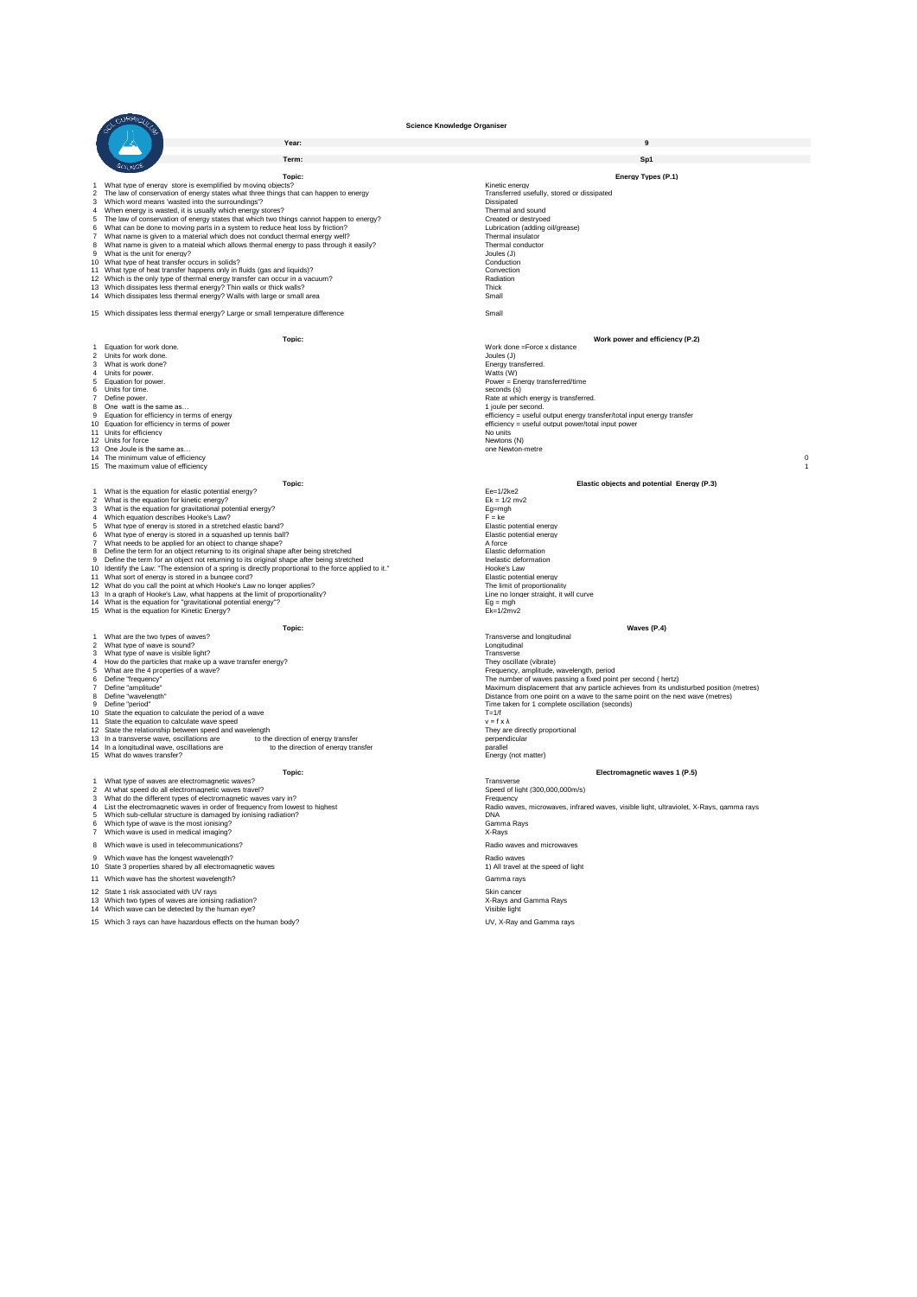OL OURAIGULO

|                         | Year:                                                                                                                                                                                         |                                                                                         |
|-------------------------|-----------------------------------------------------------------------------------------------------------------------------------------------------------------------------------------------|-----------------------------------------------------------------------------------------|
|                         |                                                                                                                                                                                               |                                                                                         |
|                         | Term:                                                                                                                                                                                         | Sn <sub>1</sub>                                                                         |
|                         |                                                                                                                                                                                               |                                                                                         |
|                         | Topic:                                                                                                                                                                                        | <b>Enerav Types (P.1)</b>                                                               |
| 1                       | What type of energy store is exemplified by moving objects?                                                                                                                                   | Kinetic energy                                                                          |
| $\overline{c}$          | The law of conservation of energy states what three things that can happen to energy                                                                                                          | Transferred usefully, stored or dissipated                                              |
| 3<br>$\overline{4}$     | Which word means 'wasted into the surroundings'?                                                                                                                                              | Dissipated                                                                              |
| 5                       | When energy is wasted, it is usually which energy stores?<br>The law of conservation of energy states that which two things cannot happen to energy?                                          | Thermal and sound<br>Created or destryoed                                               |
| 6                       | What can be done to moving parts in a system to reduce heat loss by friction?                                                                                                                 | Lubrication (adding oil/grease)                                                         |
| $\overline{7}$          | What name is given to a material which does not conduct thermal energy well?                                                                                                                  | Thermal insulator                                                                       |
| 8                       | What name is given to a mateial which allows thermal energy to pass through it easily?                                                                                                        | Thermal conductor                                                                       |
| 9                       | What is the unit for energy?                                                                                                                                                                  | Joules (J)                                                                              |
|                         | 10 What type of heat transfer occurs in solids?                                                                                                                                               | Conduction                                                                              |
|                         | 11 What type of heat transfer happens only in fluids (gas and liquids)?                                                                                                                       | Convection                                                                              |
|                         | 12 Which is the only type of thermal energy transfer can occur in a vacuum?                                                                                                                   | Radiation                                                                               |
|                         | 13 Which dissipates less thermal energy? Thin walls or thick walls?                                                                                                                           | Thick                                                                                   |
|                         | 14 Which dissipates less thermal energy? Walls with large or small area                                                                                                                       | Small                                                                                   |
|                         | 15 Which dissipates less thermal energy? Large or small temperature difference                                                                                                                | Small                                                                                   |
|                         |                                                                                                                                                                                               |                                                                                         |
|                         |                                                                                                                                                                                               |                                                                                         |
|                         | Topic:                                                                                                                                                                                        | Work power and efficiency (P.2)                                                         |
|                         | Equation for work done.                                                                                                                                                                       | Work done =Force x distance                                                             |
| $\overline{2}$          | Units for work done.                                                                                                                                                                          | Joules (J)                                                                              |
| 3                       | What is work done?                                                                                                                                                                            | Energy transferred.                                                                     |
| $\overline{4}$          | Units for power.                                                                                                                                                                              | Watts (W)                                                                               |
| 5                       | Equation for power.                                                                                                                                                                           | Power = Energy transferred/time                                                         |
| 6                       | Units for time.                                                                                                                                                                               | seconds (s)                                                                             |
| $\overline{7}$<br>8     | Define power.<br>One watt is the same as                                                                                                                                                      | Rate at which energy is transferred.<br>1 joule per second.                             |
| 9                       | Equation for efficiency in terms of energy                                                                                                                                                    | efficiency = useful output energy transfer/total input energy transfer                  |
|                         | 10 Equation for efficiency in terms of power                                                                                                                                                  | efficiency = useful output power/total input power                                      |
|                         | 11 Units for efficiency                                                                                                                                                                       | No units                                                                                |
|                         | 12 Units for force                                                                                                                                                                            | Newtons (N)                                                                             |
|                         | 13 One Joule is the same as                                                                                                                                                                   | one Newton-metre                                                                        |
|                         | 14 The minimum value of efficiency                                                                                                                                                            |                                                                                         |
|                         | 15 The maximum value of efficiency                                                                                                                                                            |                                                                                         |
|                         | Topic:                                                                                                                                                                                        | Elastic objects and potential Energy (P.3)                                              |
|                         | 1 What is the equation for elastic potential energy?                                                                                                                                          | $Ee=1/2ke2$                                                                             |
| $\overline{\mathbf{c}}$ | What is the equation for kinetic energy?                                                                                                                                                      | $Ek = 1/2$ m $v2$                                                                       |
| 3                       | What is the equation for gravitational potential energy?                                                                                                                                      | Eg=mgh                                                                                  |
| $\overline{4}$          | Which equation describes Hooke's Law?                                                                                                                                                         | $F = ke$                                                                                |
| 5                       | What type of energy is stored in a stretched elastic band?                                                                                                                                    | Elastic potential energy                                                                |
| 6                       | What type of energy is stored in a squashed up tennis ball?                                                                                                                                   | Elastic potential energy                                                                |
| $\overline{7}$          | What needs to be applied for an object to change shape?                                                                                                                                       | A force                                                                                 |
| 8<br>9                  | Define the term for an object returning to its original shape after being stretched                                                                                                           | Elastic deformation<br>Inelastic deformation                                            |
| 10                      | Define the term for an object not returning to its original shape after being stretched<br>Identify the Law: "The extension of a spring is directly proportional to the force applied to it." | Hooke's Law                                                                             |
|                         | 11 What sort of energy is stored in a bungee cord?                                                                                                                                            | Elastic potential energy                                                                |
|                         | 12 What do you call the point at which Hooke's Law no longer applies?                                                                                                                         | The limit of proportionality                                                            |
|                         | 13 In a graph of Hooke's Law, what happens at the limit of proportionality?                                                                                                                   | Line no longer straight, it will curve                                                  |
|                         | 14 What is the equation for "gravitational potential energy"?                                                                                                                                 | $Eq = mgh$                                                                              |
|                         | 15 What is the equation for Kinetic Energy?                                                                                                                                                   | $Fk=1/2mv^2$                                                                            |
|                         |                                                                                                                                                                                               |                                                                                         |
|                         | Topic:                                                                                                                                                                                        | Waves (P.4)<br>Transverse and longitudinal                                              |
| $\overline{2}$          | 1 What are the two types of waves?<br>What type of wave is sound?                                                                                                                             | Longitudinal                                                                            |
| 3                       | What type of wave is visible light?                                                                                                                                                           | Transverse                                                                              |
| 4                       | How do the particles that make up a wave transfer energy?                                                                                                                                     | They oscillate (vibrate)                                                                |
| 5                       | What are the 4 properties of a wave?                                                                                                                                                          | Frequency, amplitude, wavelength, period                                                |
| 6                       | Define "frequency"                                                                                                                                                                            | The number of waves passing a fixed point per second ( hertz)                           |
| $\overline{7}$          | Define "amplitude"                                                                                                                                                                            | Maximum displacement that any particle achieves from its undisturbed position (metres)  |
| 8                       | Define "wavelength"                                                                                                                                                                           | Distance from one point on a wave to the same point on the next wave (metres)           |
| 9                       | Define "period"                                                                                                                                                                               | Time taken for 1 complete oscillation (seconds)                                         |
| 11                      | 10 State the equation to calculate the period of a wave<br>State the equation to calculate wave speed                                                                                         | $T = 1/f$<br>$v = f \times \lambda$                                                     |
|                         | 12 State the relationship between speed and wavelength                                                                                                                                        | They are directly proportional                                                          |
|                         | 13 In a transverse wave, oscillations are ________ to the direction of energy transfer                                                                                                        | perpendicular                                                                           |
|                         | 14 In a longitudinal wave, oscillations are<br>to the direction of energy transfer                                                                                                            | parallel                                                                                |
|                         | 15 What do waves transfer?                                                                                                                                                                    | Energy (not matter)                                                                     |
|                         |                                                                                                                                                                                               |                                                                                         |
|                         | Topic:                                                                                                                                                                                        | Electromagnetic waves 1 (P.5)                                                           |
| 1<br>$\overline{2}$     | What type of waves are electromagnetic waves?<br>At what speed do all electromagnetic waves travel?                                                                                           | Transverse<br>Speed of light (300,000,000m/s)                                           |
| $\mathbf{3}$            | What do the different types of electromagnetic waves vary in?                                                                                                                                 | Frequency                                                                               |
| $\bf{4}$                | List the electromagnetic waves in order of frequency from lowest to highest                                                                                                                   | Radio waves, microwaves, infrared waves, visible light, ultraviolet, X-Rays, gamma rays |
| 5                       | Which sub-cellular structure is damaged by ionising radiation?                                                                                                                                | <b>DNA</b>                                                                              |
| 6                       | Which type of wave is the most ionising?                                                                                                                                                      | Gamma Rays                                                                              |
| $\overline{7}$          | Which wave is used in medical imaging?                                                                                                                                                        | X-Rays                                                                                  |
|                         | 8 Which wave is used in telecommunications?                                                                                                                                                   | Radio waves and microwaves                                                              |
| 9                       |                                                                                                                                                                                               | Radio waves                                                                             |
|                         | Which wave has the longest wavelength?<br>10 State 3 properties shared by all electromagnetic waves                                                                                           | 1) All travel at the speed of light                                                     |
|                         |                                                                                                                                                                                               |                                                                                         |
|                         | 11 Which wave has the shortest wavelength?                                                                                                                                                    | Gamma ravs                                                                              |
| 12                      | State 1 right generational with LIV rough                                                                                                                                                     | Clin concor                                                                             |

15 Which 3 rays can have hazardous effects on the human body? UV, X-Ray and Gamma rays

12 State 1 risk associated with UV rays<br>13 Which two types of waves are ionising radiation?<br>14 Which wave can be detected by the human eye?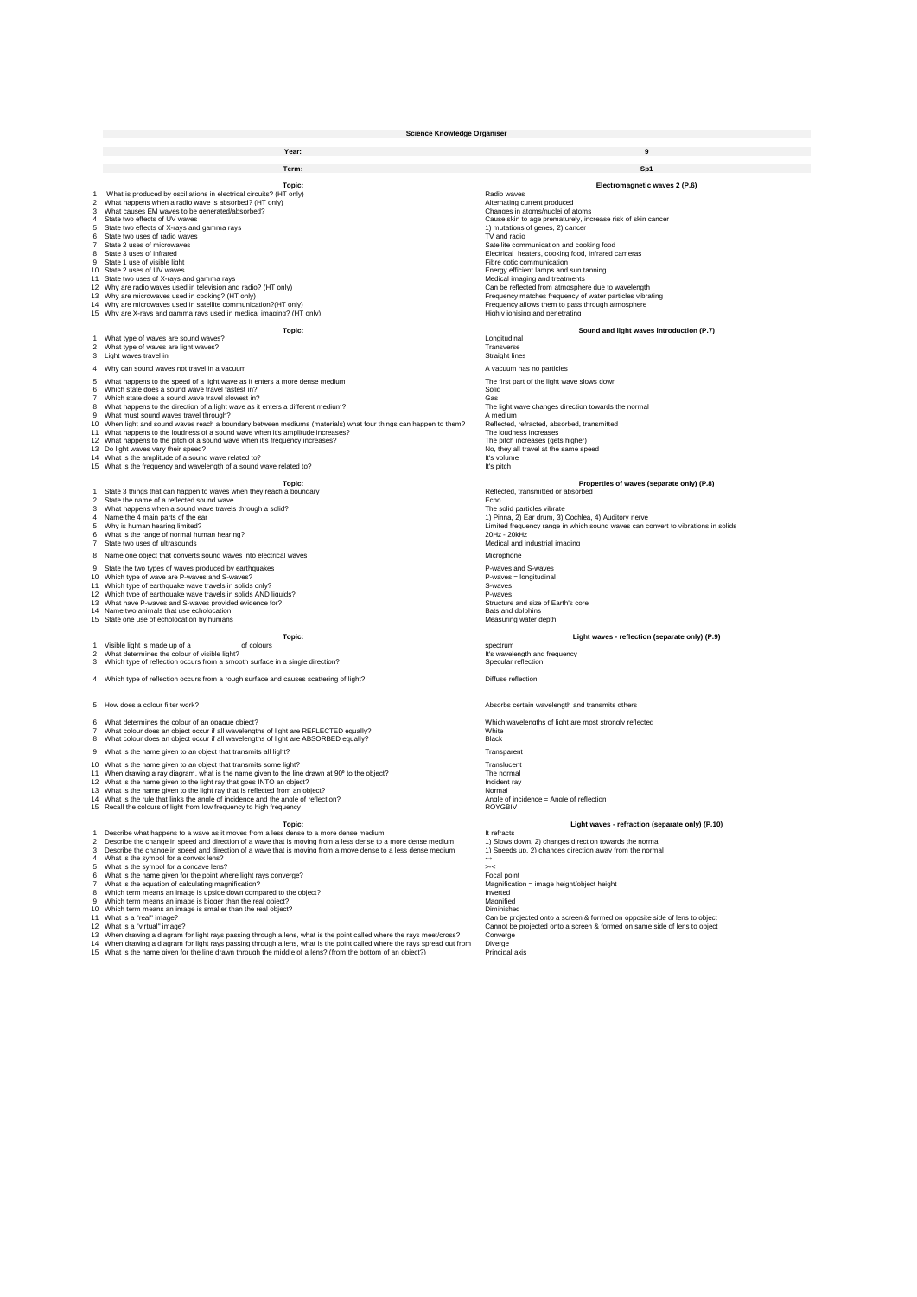|                                                                              | <b>Science Knowledge Organiser</b>                                                                                                                                                                                                                                                                                                                                                                                                                                                                                                                                                                                                                                                                                                                                                                                                                                                                                                                                                                                                                                                                                                                                   |                                                                                                                                                                                                                                                                                                                                                                                                                                                                                                                                                                                                                                                         |  |  |  |  |
|------------------------------------------------------------------------------|----------------------------------------------------------------------------------------------------------------------------------------------------------------------------------------------------------------------------------------------------------------------------------------------------------------------------------------------------------------------------------------------------------------------------------------------------------------------------------------------------------------------------------------------------------------------------------------------------------------------------------------------------------------------------------------------------------------------------------------------------------------------------------------------------------------------------------------------------------------------------------------------------------------------------------------------------------------------------------------------------------------------------------------------------------------------------------------------------------------------------------------------------------------------|---------------------------------------------------------------------------------------------------------------------------------------------------------------------------------------------------------------------------------------------------------------------------------------------------------------------------------------------------------------------------------------------------------------------------------------------------------------------------------------------------------------------------------------------------------------------------------------------------------------------------------------------------------|--|--|--|--|
|                                                                              | Year:                                                                                                                                                                                                                                                                                                                                                                                                                                                                                                                                                                                                                                                                                                                                                                                                                                                                                                                                                                                                                                                                                                                                                                |                                                                                                                                                                                                                                                                                                                                                                                                                                                                                                                                                                                                                                                         |  |  |  |  |
|                                                                              | Term:                                                                                                                                                                                                                                                                                                                                                                                                                                                                                                                                                                                                                                                                                                                                                                                                                                                                                                                                                                                                                                                                                                                                                                | Sp1                                                                                                                                                                                                                                                                                                                                                                                                                                                                                                                                                                                                                                                     |  |  |  |  |
| 1<br>$\overline{\mathbf{c}}$<br>3<br>4<br>5<br>6<br>$\overline{7}$<br>8<br>9 | Topic:<br>What is produced by oscillations in electrical circuits? (HT only)<br>What happens when a radio wave is absorbed? (HT only)<br>What causes EM waves to be generated/absorbed?<br>State two effects of UV waves<br>State two effects of X-rays and gamma rays<br>State two uses of radio waves<br>State 2 uses of microwaves<br>State 3 uses of infrared<br>State 1 use of visible light<br>10 State 2 uses of UV waves<br>11 State two uses of X-rays and gamma rays<br>12 Why are radio waves used in television and radio? (HT only)<br>13 Why are microwaves used in cooking? (HT only)<br>14 Why are microwaves used in satellite communication?(HT only)<br>15 Why are X-rays and gamma rays used in medical imaging? (HT only)                                                                                                                                                                                                                                                                                                                                                                                                                       | Electromagnetic waves 2 (P.6)<br>Radio waves<br>Alternating current produced<br>Changes in atoms/nuclei of atoms<br>Cause skin to age prematurely, increase risk of skin cancer<br>1) mutations of genes, 2) cancer<br>TV and radio<br>Satellite communication and cooking food<br>Electrical heaters, cooking food, infrared cameras<br>Fibre optic communication<br>Energy efficient lamps and sun tanning<br>Medical imaging and treatments<br>Can be reflected from atmosphere due to wavelength<br>Frequency matches frequency of water particles vibrating<br>Frequency allows them to pass through atmosphere<br>Highly ionising and penetrating |  |  |  |  |
|                                                                              | Topic:                                                                                                                                                                                                                                                                                                                                                                                                                                                                                                                                                                                                                                                                                                                                                                                                                                                                                                                                                                                                                                                                                                                                                               | Sound and light waves introduction (P.7)                                                                                                                                                                                                                                                                                                                                                                                                                                                                                                                                                                                                                |  |  |  |  |
|                                                                              | What type of waves are sound waves?<br>2 What type of waves are light waves?<br>3 Light waves travel in<br>4 Why can sound waves not travel in a vacuum                                                                                                                                                                                                                                                                                                                                                                                                                                                                                                                                                                                                                                                                                                                                                                                                                                                                                                                                                                                                              | Longitudinal<br>Transverse<br>Straight lines<br>A vacuum has no particles                                                                                                                                                                                                                                                                                                                                                                                                                                                                                                                                                                               |  |  |  |  |
| 5<br>6<br>$\overline{7}$<br>8<br>9<br>10                                     | What happens to the speed of a light wave as it enters a more dense medium<br>Which state does a sound wave travel fastest in?<br>Which state does a sound wave travel slowest in?<br>What happens to the direction of a light wave as it enters a different medium?<br>What must sound waves travel through?<br>When light and sound waves reach a boundary between mediums (materials) what four things can happen to them?<br>11 What happens to the loudness of a sound wave when it's amplitude increases?<br>12 What happens to the pitch of a sound wave when it's frequency increases?<br>13 Do light waves vary their speed?<br>14 What is the amplitude of a sound wave related to?<br>15 What is the frequency and wavelength of a sound wave related to?                                                                                                                                                                                                                                                                                                                                                                                                 | The first part of the light wave slows down<br>Solid<br>Gas<br>The light wave changes direction towards the normal<br>A medium<br>Reflected, refracted, absorbed, transmitted<br>The loudness increases<br>The pitch increases (gets higher)<br>No, they all travel at the same speed<br>It's volume<br>It's pitch                                                                                                                                                                                                                                                                                                                                      |  |  |  |  |
| $\overline{2}$<br>3<br>$\overline{4}$<br>5<br>6<br>$\overline{7}$            | Topic:<br>1 State 3 things that can happen to waves when they reach a boundary<br>State the name of a reflected sound wave<br>What happens when a sound wave travels through a solid?<br>Name the 4 main parts of the ear<br>Why is human hearing limited?<br>What is the range of normal human hearing?<br>State two uses of ultrasounds<br>8 Name one object that converts sound waves into electrical waves                                                                                                                                                                                                                                                                                                                                                                                                                                                                                                                                                                                                                                                                                                                                                       | Properties of waves (separate only) (P.8)<br>Reflected, transmitted or absorbed<br>Echo<br>The solid particles vibrate<br>1) Pinna, 2) Ear drum, 3) Cochlea, 4) Auditory nerve<br>Limited frequency range in which sound waves can convert to vibrations in solids<br>20Hz - 20kHz<br>Medical and industrial imaging<br>Microphone                                                                                                                                                                                                                                                                                                                      |  |  |  |  |
| 10                                                                           | 9 State the two types of waves produced by earthquakes<br>Which type of wave are P-waves and S-waves?<br>11 Which type of earthquake wave travels in solids only?<br>12 Which type of earthquake wave travels in solids AND liquids?<br>13 What have P-waves and S-waves provided evidence for?<br>14 Name two animals that use echolocation<br>15 State one use of echolocation by humans                                                                                                                                                                                                                                                                                                                                                                                                                                                                                                                                                                                                                                                                                                                                                                           | P-waves and S-waves<br>$P$ -waves = longitudinal<br>S-waves<br>P-waves<br>Structure and size of Earth's core<br>Bats and dolphins<br>Measuring water depth                                                                                                                                                                                                                                                                                                                                                                                                                                                                                              |  |  |  |  |
| $\overline{2}$<br>3                                                          | Topic:<br>of colours<br>1 Visible light is made up of a<br>What determines the colour of visible light?<br>Which type of reflection occurs from a smooth surface in a single direction?                                                                                                                                                                                                                                                                                                                                                                                                                                                                                                                                                                                                                                                                                                                                                                                                                                                                                                                                                                              | Light waves - reflection (separate only) (P.9)<br>spectrum<br>It's wavelength and frequency<br>Specular reflection                                                                                                                                                                                                                                                                                                                                                                                                                                                                                                                                      |  |  |  |  |
|                                                                              | 4 Which type of reflection occurs from a rough surface and causes scattering of light?                                                                                                                                                                                                                                                                                                                                                                                                                                                                                                                                                                                                                                                                                                                                                                                                                                                                                                                                                                                                                                                                               | Diffuse reflection                                                                                                                                                                                                                                                                                                                                                                                                                                                                                                                                                                                                                                      |  |  |  |  |
|                                                                              | 5 How does a colour filter work?                                                                                                                                                                                                                                                                                                                                                                                                                                                                                                                                                                                                                                                                                                                                                                                                                                                                                                                                                                                                                                                                                                                                     | Absorbs certain wavelength and transmits others                                                                                                                                                                                                                                                                                                                                                                                                                                                                                                                                                                                                         |  |  |  |  |
| 6<br>7<br>8                                                                  | What determines the colour of an opaque object?<br>What colour does an object occur if all wavelengths of light are REFLECTED equally?<br>What colour does an object occur if all wavelengths of light are ABSORBED equally?<br>9 What is the name given to an object that transmits all light?<br>10 What is the name given to an object that transmits some light?<br>11 When drawing a ray diagram, what is the name given to the line drawn at 90° to the object?<br>12 What is the name given to the light ray that goes INTO an object?<br>13 What is the name given to the light ray that is reflected from an object?<br>14 What is the rule that links the angle of incidence and the angle of reflection?<br>15 Recall the colours of light from low frequency to high frequency                                                                                                                                                                                                                                                                                                                                                                           | Which wavelengths of light are most strongly reflected<br>White<br>Black<br>Transparent<br>Translucent<br>The normal<br>Incident ray<br>Normal<br>Angle of incidence = Angle of reflection<br><b>ROYGBIV</b>                                                                                                                                                                                                                                                                                                                                                                                                                                            |  |  |  |  |
|                                                                              | Topic:                                                                                                                                                                                                                                                                                                                                                                                                                                                                                                                                                                                                                                                                                                                                                                                                                                                                                                                                                                                                                                                                                                                                                               | Light waves - refraction (separate only) (P.10)                                                                                                                                                                                                                                                                                                                                                                                                                                                                                                                                                                                                         |  |  |  |  |
| 3<br>$\overline{4}$<br>5<br>6<br>$\overline{7}$<br>8<br>9<br>10              | 1 Describe what happens to a wave as it moves from a less dense to a more dense medium<br>2 Describe the change in speed and direction of a wave that is moving from a less dense to a more dense medium<br>Describe the change in speed and direction of a wave that is moving from a move dense to a less dense medium<br>What is the symbol for a convex lens?<br>What is the symbol for a concave lens?<br>What is the name given for the point where light rays converge?<br>What is the equation of calculating magnification?<br>Which term means an image is upside down compared to the object?<br>Which term means an image is bigger than the real object?<br>Which term means an image is smaller than the real object?<br>11 What is a "real" image?<br>12 What is a "virtual" image?<br>13 When drawing a diagram for light rays passing through a lens, what is the point called where the rays meet/cross?<br>14 When drawing a diagram for light rays passing through a lens, what is the point called where the rays spread out from<br>15 What is the name given for the line drawn through the middle of a lens? (from the bottom of an object?) | It refracts<br>1) Slows down, 2) changes direction towards the normal<br>1) Speeds up, 2) changes direction away from the normal<br>$\rightarrow$<br>Focal point<br>Magnification = image height/object height<br>Inverted<br>Magnified<br>Diminished<br>Can be projected onto a screen & formed on opposite side of lens to object<br>Cannot be projected onto a screen & formed on same side of lens to object<br>Converge<br>Diverge<br>Principal axis                                                                                                                                                                                               |  |  |  |  |